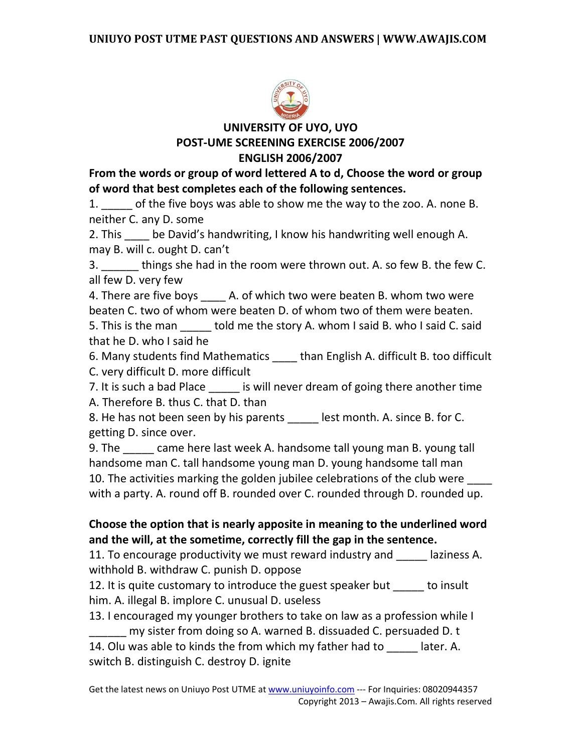

**UNIVERSITY OF UYO, UYO POST-UME SCREENING EXERCISE 2006/2007 ENGLISH 2006/2007**

**From the words or group of word lettered A to d, Choose the word or group of word that best completes each of the following sentences.** 

1. of the five boys was able to show me the way to the zoo. A. none B. neither C. any D. some

2. This \_\_\_\_ be David's handwriting, I know his handwriting well enough A. may B. will c. ought D. can't

3. \_\_\_\_\_\_ things she had in the room were thrown out. A. so few B. the few C. all few D. very few

4. There are five boys \_\_\_\_\_ A. of which two were beaten B. whom two were beaten C. two of whom were beaten D. of whom two of them were beaten. 5. This is the man bold me the story A. whom I said B. who I said C. said that he D. who I said he

6. Many students find Mathematics \_\_\_\_ than English A. difficult B. too difficult C. very difficult D. more difficult

7. It is such a bad Place is will never dream of going there another time A. Therefore B. thus C. that D. than

8. He has not been seen by his parents lest month. A. since B. for C. getting D. since over.

9. The \_\_\_\_\_ came here last week A. handsome tall young man B. young tall handsome man C. tall handsome young man D. young handsome tall man 10. The activities marking the golden jubilee celebrations of the club were \_\_\_\_ with a party. A. round off B. rounded over C. rounded through D. rounded up.

## **Choose the option that is nearly apposite in meaning to the underlined word and the will, at the sometime, correctly fill the gap in the sentence.**

11. To encourage productivity we must reward industry and laziness A. withhold B. withdraw C. punish D. oppose

12. It is quite customary to introduce the guest speaker but to insult him. A. illegal B. implore C. unusual D. useless

13. I encouraged my younger brothers to take on law as a profession while I \_\_\_\_\_\_ my sister from doing so A. warned B. dissuaded C. persuaded D. t 14. Olu was able to kinds the from which my father had to later. A.

switch B. distinguish C. destroy D. ignite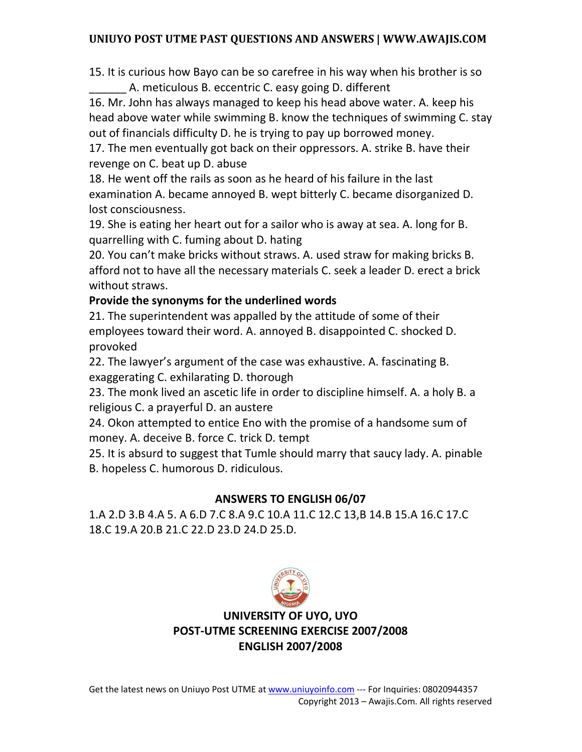15. It is curious how Bayo can be so carefree in his way when his brother is so A. meticulous B. eccentric C. easy going D. different

16. Mr. John has always managed to keep his head above water. A. keep his head above water while swimming B. know the techniques of swimming C. stay out of financials difficulty D. he is trying to pay up borrowed money.

17. The men eventually got back on their oppressors. A. strike B. have their revenge on C. beat up D. abuse

18. He went off the rails as soon as he heard of his failure in the last examination A. became annoyed B. wept bitterly C. became disorganized D. lost consciousness.

19. She is eating her heart out for a sailor who is away at sea. A. long for B. quarrelling with C. fuming about D. hating

20. You can't make bricks without straws. A. used straw for making bricks B. afford not to have all the necessary materials C. seek a leader D. erect a brick without straws.

## **Provide the synonyms for the underlined words**

21. The superintendent was appalled by the attitude of some of their employees toward their word. A. annoyed B. disappointed C. shocked D. provoked

22. The lawyer's argument of the case was exhaustive. A. fascinating B. exaggerating C. exhilarating D. thorough

23. The monk lived an ascetic life in order to discipline himself. A. a holy B. a religious C. a prayerful D. an austere

24. Okon attempted to entice Eno with the promise of a handsome sum of money. A. deceive B. force C. trick D. tempt

25. It is absurd to suggest that Tumle should marry that saucy lady. A. pinable B. hopeless C. humorous D. ridiculous.

## **ANSWERS TO ENGLISH 06/07**

1.A 2.D 3.B 4.A 5. A 6.D 7.C 8.A 9.C 10.A 11.C 12.C 13,B 14.B 15.A 16.C 17.C 18.C 19.A 20.B 21.C 22.D 23.D 24.D 25.D.



**UNIVERSITY OF UYO, UYO POST-UTME SCREENING EXERCISE 2007/2008 ENGLISH 2007/2008**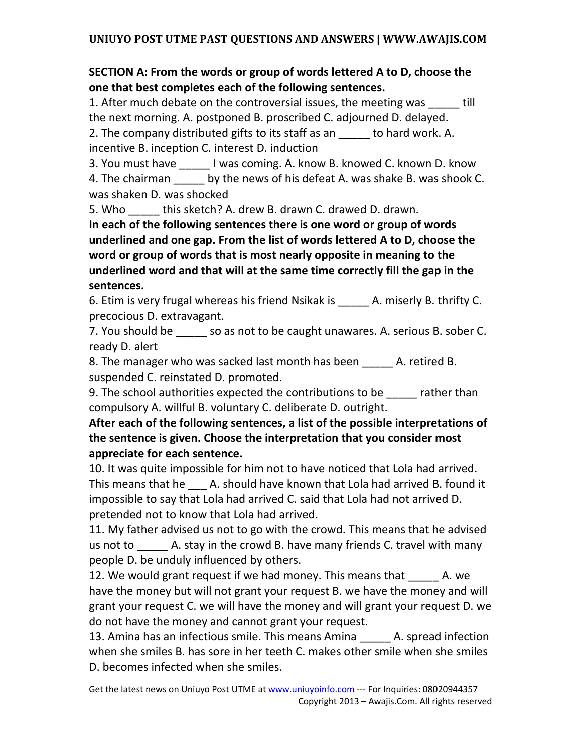## **SECTION A: From the words or group of words lettered A to D, choose the one that best completes each of the following sentences.**

1. After much debate on the controversial issues, the meeting was Till the next morning. A. postponed B. proscribed C. adjourned D. delayed.

2. The company distributed gifts to its staff as an to hard work. A. incentive B. inception C. interest D. induction

3. You must have \_\_\_\_\_ I was coming. A. know B. knowed C. known D. know 4. The chairman by the news of his defeat A. was shake B. was shook C. was shaken D. was shocked

5. Who this sketch? A. drew B. drawn C. drawed D. drawn.

**In each of the following sentences there is one word or group of words underlined and one gap. From the list of words lettered A to D, choose the word or group of words that is most nearly opposite in meaning to the underlined word and that will at the same time correctly fill the gap in the sentences.** 

6. Etim is very frugal whereas his friend Nsikak is  $\qquad \qquad$  A. miserly B. thrifty C. precocious D. extravagant.

7. You should be so as not to be caught unawares. A. serious B. sober C. ready D. alert

8. The manager who was sacked last month has been A. retired B. suspended C. reinstated D. promoted.

9. The school authorities expected the contributions to be rather than compulsory A. willful B. voluntary C. deliberate D. outright.

**After each of the following sentences, a list of the possible interpretations of the sentence is given. Choose the interpretation that you consider most appreciate for each sentence.** 

10. It was quite impossible for him not to have noticed that Lola had arrived. This means that he \_\_\_ A. should have known that Lola had arrived B. found it impossible to say that Lola had arrived C. said that Lola had not arrived D. pretended not to know that Lola had arrived.

11. My father advised us not to go with the crowd. This means that he advised us not to allo A. stay in the crowd B. have many friends C. travel with many people D. be unduly influenced by others.

12. We would grant request if we had money. This means that The A. we have the money but will not grant your request B. we have the money and will grant your request C. we will have the money and will grant your request D. we do not have the money and cannot grant your request.

13. Amina has an infectious smile. This means Amina \_\_\_\_\_\_ A. spread infection when she smiles B. has sore in her teeth C. makes other smile when she smiles D. becomes infected when she smiles.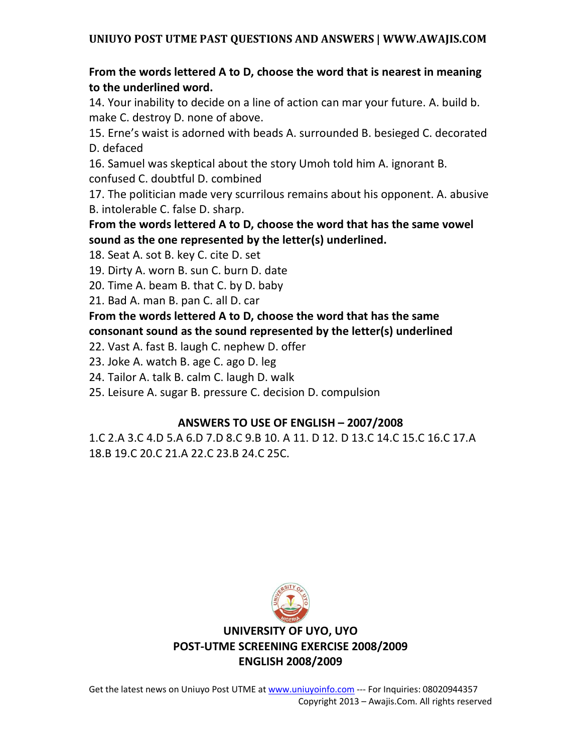### **From the words lettered A to D, choose the word that is nearest in meaning to the underlined word.**

14. Your inability to decide on a line of action can mar your future. A. build b. make C. destroy D. none of above.

15. Erne's waist is adorned with beads A. surrounded B. besieged C. decorated D. defaced

16. Samuel was skeptical about the story Umoh told him A. ignorant B. confused C. doubtful D. combined

17. The politician made very scurrilous remains about his opponent. A. abusive B. intolerable C. false D. sharp.

**From the words lettered A to D, choose the word that has the same vowel sound as the one represented by the letter(s) underlined.** 

18. Seat A. sot B. key C. cite D. set

19. Dirty A. worn B. sun C. burn D. date

20. Time A. beam B. that C. by D. baby

21. Bad A. man B. pan C. all D. car

**From the words lettered A to D, choose the word that has the same consonant sound as the sound represented by the letter(s) underlined** 

22. Vast A. fast B. laugh C. nephew D. offer

23. Joke A. watch B. age C. ago D. leg

24. Tailor A. talk B. calm C. laugh D. walk

25. Leisure A. sugar B. pressure C. decision D. compulsion

#### **ANSWERS TO USE OF ENGLISH – 2007/2008**

1.C 2.A 3.C 4.D 5.A 6.D 7.D 8.C 9.B 10. A 11. D 12. D 13.C 14.C 15.C 16.C 17.A 18.B 19.C 20.C 21.A 22.C 23.B 24.C 25C.



**UNIVERSITY OF UYO, UYO POST-UTME SCREENING EXERCISE 2008/2009 ENGLISH 2008/2009**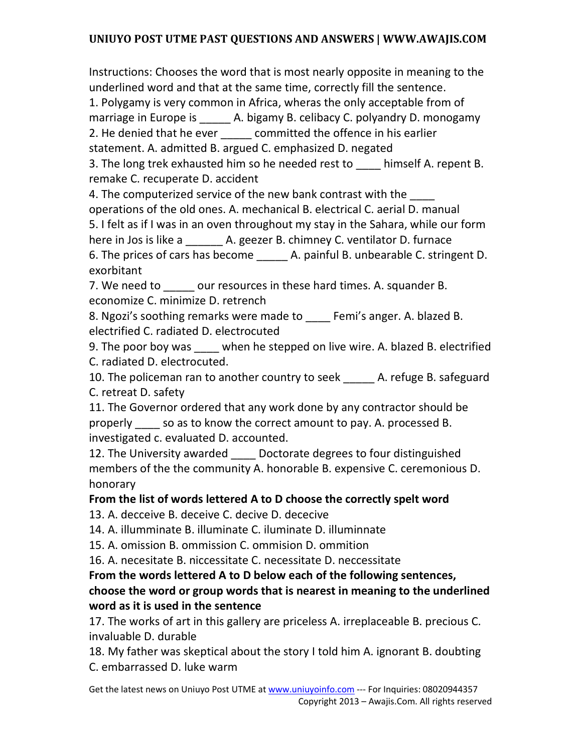Instructions: Chooses the word that is most nearly opposite in meaning to the underlined word and that at the same time, correctly fill the sentence.

1. Polygamy is very common in Africa, wheras the only acceptable from of marriage in Europe is A. bigamy B. celibacy C. polyandry D. monogamy 2. He denied that he ever \_\_\_\_\_\_ committed the offence in his earlier

statement. A. admitted B. argued C. emphasized D. negated

3. The long trek exhausted him so he needed rest to himself A. repent B. remake C. recuperate D. accident

4. The computerized service of the new bank contrast with the operations of the old ones. A. mechanical B. electrical C. aerial D. manual 5. I felt as if I was in an oven throughout my stay in the Sahara, while our form here in Jos is like a a metal A. geezer B. chimney C. ventilator D. furnace 6. The prices of cars has become <br>A. painful B. unbearable C. stringent D. exorbitant

7. We need to \_\_\_\_\_ our resources in these hard times. A. squander B. economize C. minimize D. retrench

8. Ngozi's soothing remarks were made to \_\_\_\_\_ Femi's anger. A. blazed B. electrified C. radiated D. electrocuted

9. The poor boy was \_\_\_\_ when he stepped on live wire. A. blazed B. electrified C. radiated D. electrocuted.

10. The policeman ran to another country to seek A. refuge B. safeguard C. retreat D. safety

11. The Governor ordered that any work done by any contractor should be properly \_\_\_\_ so as to know the correct amount to pay. A. processed B. investigated c. evaluated D. accounted.

12. The University awarded Doctorate degrees to four distinguished members of the the community A. honorable B. expensive C. ceremonious D. honorary

## **From the list of words lettered A to D choose the correctly spelt word**

13. A. decceive B. deceive C. decive D. dececive

14. A. illumminate B. illuminate C. iluminate D. illuminnate

15. A. omission B. ommission C. ommision D. ommition

16. A. necesitate B. niccessitate C. necessitate D. neccessitate

### **From the words lettered A to D below each of the following sentences, choose the word or group words that is nearest in meaning to the underlined word as it is used in the sentence**

17. The works of art in this gallery are priceless A. irreplaceable B. precious C. invaluable D. durable

18. My father was skeptical about the story I told him A. ignorant B. doubting C. embarrassed D. luke warm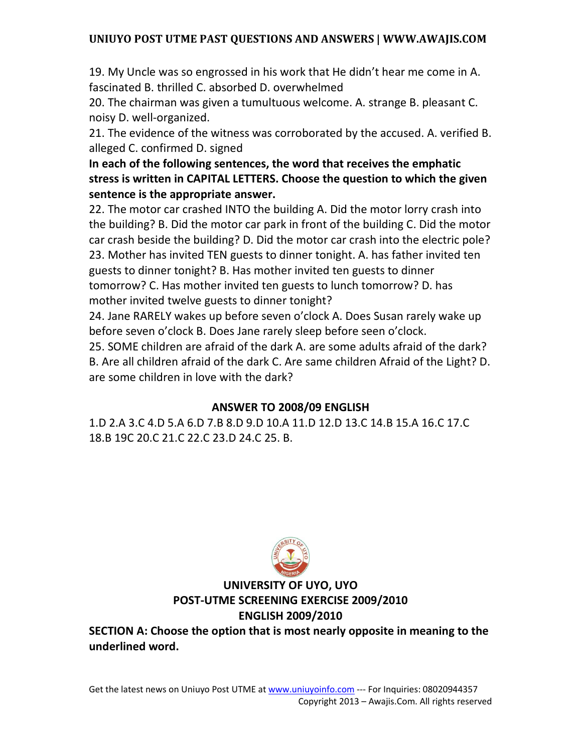19. My Uncle was so engrossed in his work that He didn't hear me come in A. fascinated B. thrilled C. absorbed D. overwhelmed

20. The chairman was given a tumultuous welcome. A. strange B. pleasant C. noisy D. well-organized.

21. The evidence of the witness was corroborated by the accused. A. verified B. alleged C. confirmed D. signed

**In each of the following sentences, the word that receives the emphatic stress is written in CAPITAL LETTERS. Choose the question to which the given sentence is the appropriate answer.** 

22. The motor car crashed INTO the building A. Did the motor lorry crash into the building? B. Did the motor car park in front of the building C. Did the motor car crash beside the building? D. Did the motor car crash into the electric pole? 23. Mother has invited TEN guests to dinner tonight. A. has father invited ten guests to dinner tonight? B. Has mother invited ten guests to dinner tomorrow? C. Has mother invited ten guests to lunch tomorrow? D. has mother invited twelve guests to dinner tonight?

24. Jane RARELY wakes up before seven o'clock A. Does Susan rarely wake up before seven o'clock B. Does Jane rarely sleep before seen o'clock.

25. SOME children are afraid of the dark A. are some adults afraid of the dark? B. Are all children afraid of the dark C. Are same children Afraid of the Light? D. are some children in love with the dark?

#### **ANSWER TO 2008/09 ENGLISH**

1.D 2.A 3.C 4.D 5.A 6.D 7.B 8.D 9.D 10.A 11.D 12.D 13.C 14.B 15.A 16.C 17.C 18.B 19C 20.C 21.C 22.C 23.D 24.C 25. B.



### **UNIVERSITY OF UYO, UYO POST-UTME SCREENING EXERCISE 2009/2010 ENGLISH 2009/2010**

**SECTION A: Choose the option that is most nearly opposite in meaning to the underlined word.**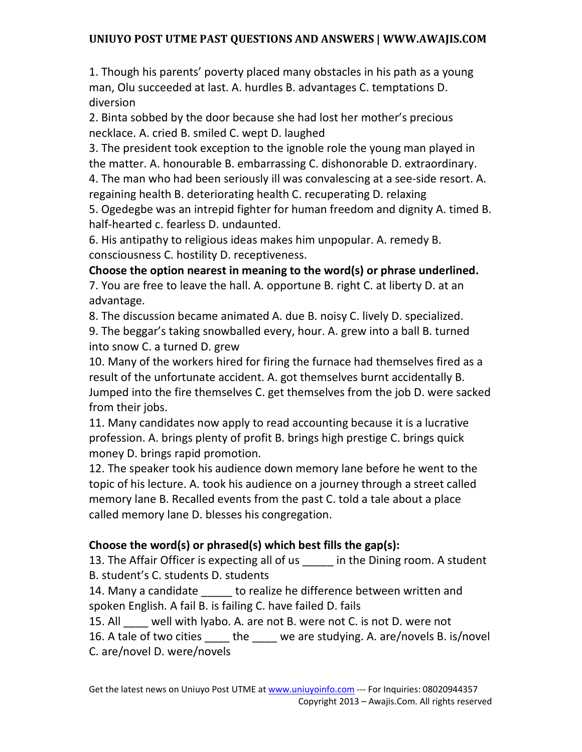1. Though his parents' poverty placed many obstacles in his path as a young man, Olu succeeded at last. A. hurdles B. advantages C. temptations D. diversion

2. Binta sobbed by the door because she had lost her mother's precious necklace. A. cried B. smiled C. wept D. laughed

3. The president took exception to the ignoble role the young man played in the matter. A. honourable B. embarrassing C. dishonorable D. extraordinary.

4. The man who had been seriously ill was convalescing at a see-side resort. A. regaining health B. deteriorating health C. recuperating D. relaxing

5. Ogedegbe was an intrepid fighter for human freedom and dignity A. timed B. half-hearted c. fearless D. undaunted.

6. His antipathy to religious ideas makes him unpopular. A. remedy B. consciousness C. hostility D. receptiveness.

**Choose the option nearest in meaning to the word(s) or phrase underlined.** 

7. You are free to leave the hall. A. opportune B. right C. at liberty D. at an advantage.

8. The discussion became animated A. due B. noisy C. lively D. specialized. 9. The beggar's taking snowballed every, hour. A. grew into a ball B. turned into snow C. a turned D. grew

10. Many of the workers hired for firing the furnace had themselves fired as a result of the unfortunate accident. A. got themselves burnt accidentally B. Jumped into the fire themselves C. get themselves from the job D. were sacked from their jobs.

11. Many candidates now apply to read accounting because it is a lucrative profession. A. brings plenty of profit B. brings high prestige C. brings quick money D. brings rapid promotion.

12. The speaker took his audience down memory lane before he went to the topic of his lecture. A. took his audience on a journey through a street called memory lane B. Recalled events from the past C. told a tale about a place called memory lane D. blesses his congregation.

## **Choose the word(s) or phrased(s) which best fills the gap(s):**

13. The Affair Officer is expecting all of us in the Dining room. A student B. student's C. students D. students

14. Many a candidate to realize he difference between written and spoken English. A fail B. is failing C. have failed D. fails

15. All well with lyabo. A. are not B. were not C. is not D. were not

16. A tale of two cities \_\_\_\_ the \_\_\_\_ we are studying. A. are/novels B. is/novel

C. are/novel D. were/novels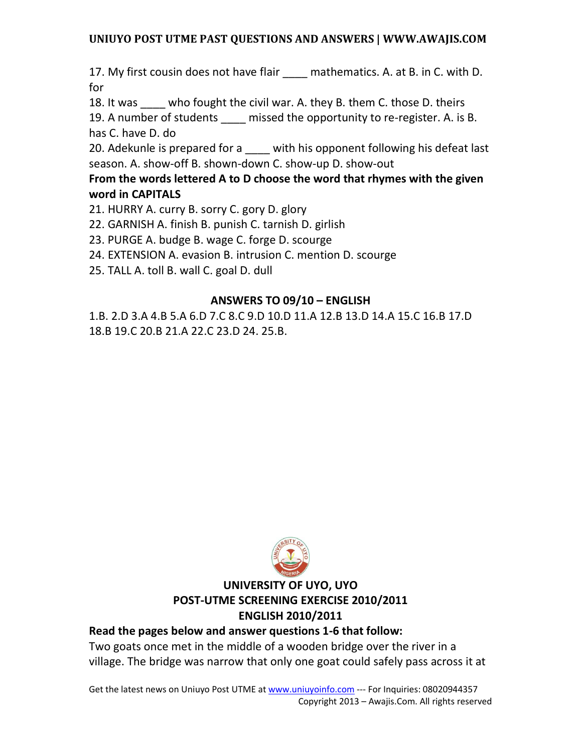17. My first cousin does not have flair \_\_\_\_ mathematics. A. at B. in C. with D. for

18. It was \_\_\_\_ who fought the civil war. A. they B. them C. those D. theirs

19. A number of students missed the opportunity to re-register. A. is B. has C. have D. do

20. Adekunle is prepared for a with his opponent following his defeat last season. A. show-off B. shown-down C. show-up D. show-out

## **From the words lettered A to D choose the word that rhymes with the given word in CAPITALS**

- 21. HURRY A. curry B. sorry C. gory D. glory
- 22. GARNISH A. finish B. punish C. tarnish D. girlish
- 23. PURGE A. budge B. wage C. forge D. scourge
- 24. EXTENSION A. evasion B. intrusion C. mention D. scourge
- 25. TALL A. toll B. wall C. goal D. dull

### **ANSWERS TO 09/10 – ENGLISH**

1.B. 2.D 3.A 4.B 5.A 6.D 7.C 8.C 9.D 10.D 11.A 12.B 13.D 14.A 15.C 16.B 17.D 18.B 19.C 20.B 21.A 22.C 23.D 24. 25.B.



## **UNIVERSITY OF UYO, UYO POST-UTME SCREENING EXERCISE 2010/2011 ENGLISH 2010/2011**

#### **Read the pages below and answer questions 1-6 that follow:**

Two goats once met in the middle of a wooden bridge over the river in a village. The bridge was narrow that only one goat could safely pass across it at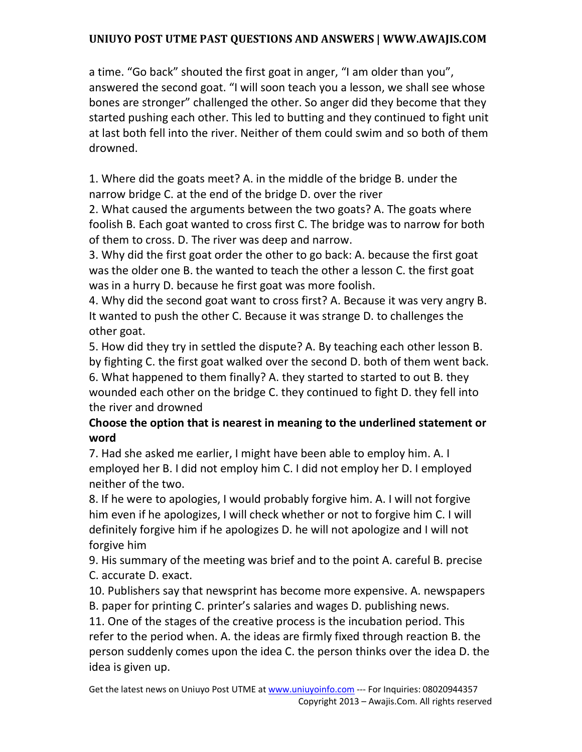a time. "Go back" shouted the first goat in anger, "I am older than you", answered the second goat. "I will soon teach you a lesson, we shall see whose bones are stronger" challenged the other. So anger did they become that they started pushing each other. This led to butting and they continued to fight unit at last both fell into the river. Neither of them could swim and so both of them drowned.

1. Where did the goats meet? A. in the middle of the bridge B. under the narrow bridge C. at the end of the bridge D. over the river

2. What caused the arguments between the two goats? A. The goats where foolish B. Each goat wanted to cross first C. The bridge was to narrow for both of them to cross. D. The river was deep and narrow.

3. Why did the first goat order the other to go back: A. because the first goat was the older one B. the wanted to teach the other a lesson C. the first goat was in a hurry D. because he first goat was more foolish.

4. Why did the second goat want to cross first? A. Because it was very angry B. It wanted to push the other C. Because it was strange D. to challenges the other goat.

5. How did they try in settled the dispute? A. By teaching each other lesson B. by fighting C. the first goat walked over the second D. both of them went back. 6. What happened to them finally? A. they started to started to out B. they wounded each other on the bridge C. they continued to fight D. they fell into the river and drowned

## **Choose the option that is nearest in meaning to the underlined statement or word**

7. Had she asked me earlier, I might have been able to employ him. A. I employed her B. I did not employ him C. I did not employ her D. I employed neither of the two.

8. If he were to apologies, I would probably forgive him. A. I will not forgive him even if he apologizes, I will check whether or not to forgive him C. I will definitely forgive him if he apologizes D. he will not apologize and I will not forgive him

9. His summary of the meeting was brief and to the point A. careful B. precise C. accurate D. exact.

10. Publishers say that newsprint has become more expensive. A. newspapers B. paper for printing C. printer's salaries and wages D. publishing news.

11. One of the stages of the creative process is the incubation period. This refer to the period when. A. the ideas are firmly fixed through reaction B. the person suddenly comes upon the idea C. the person thinks over the idea D. the idea is given up.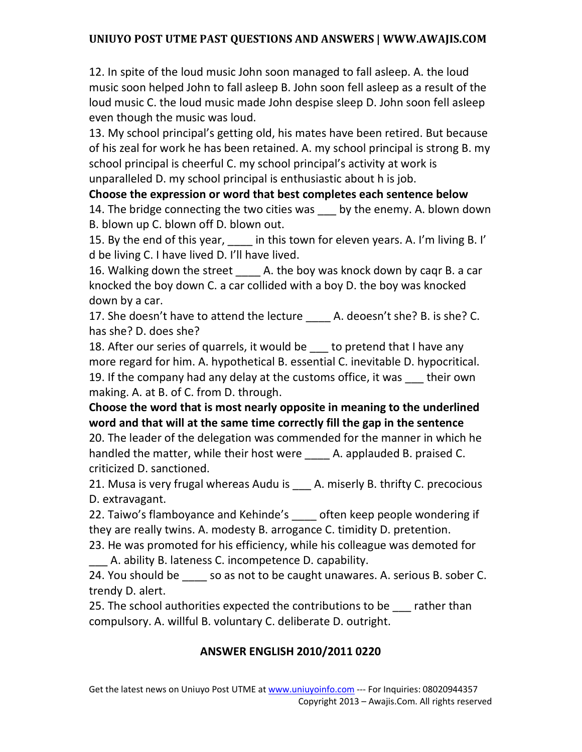12. In spite of the loud music John soon managed to fall asleep. A. the loud music soon helped John to fall asleep B. John soon fell asleep as a result of the loud music C. the loud music made John despise sleep D. John soon fell asleep even though the music was loud.

13. My school principal's getting old, his mates have been retired. But because of his zeal for work he has been retained. A. my school principal is strong B. my school principal is cheerful C. my school principal's activity at work is unparalleled D. my school principal is enthusiastic about h is job.

**Choose the expression or word that best completes each sentence below**  14. The bridge connecting the two cities was \_\_\_ by the enemy. A. blown down B. blown up C. blown off D. blown out.

15. By the end of this year, in this town for eleven years. A. I'm living B. I' d be living C. I have lived D. I'll have lived.

16. Walking down the street and A. the boy was knock down by caqr B. a car knocked the boy down C. a car collided with a boy D. the boy was knocked down by a car.

17. She doesn't have to attend the lecture \_\_\_\_\_ A. deoesn't she? B. is she? C. has she? D. does she?

18. After our series of quarrels, it would be to pretend that I have any more regard for him. A. hypothetical B. essential C. inevitable D. hypocritical. 19. If the company had any delay at the customs office, it was their own making. A. at B. of C. from D. through.

**Choose the word that is most nearly opposite in meaning to the underlined word and that will at the same time correctly fill the gap in the sentence** 

20. The leader of the delegation was commended for the manner in which he handled the matter, while their host were \_\_\_\_ A. applauded B. praised C. criticized D. sanctioned.

21. Musa is very frugal whereas Audu is A. miserly B. thrifty C. precocious D. extravagant.

22. Taiwo's flamboyance and Kehinde's often keep people wondering if they are really twins. A. modesty B. arrogance C. timidity D. pretention.

23. He was promoted for his efficiency, while his colleague was demoted for A. ability B. lateness C. incompetence D. capability.

24. You should be \_\_\_\_ so as not to be caught unawares. A. serious B. sober C. trendy D. alert.

25. The school authorities expected the contributions to be rather than compulsory. A. willful B. voluntary C. deliberate D. outright.

## **ANSWER ENGLISH 2010/2011 0220**

Get the latest news on Uniuyo Post UTME at www.uniuyoinfo.com --- For Inquiries: 08020944357 Copyright 2013 – Awajis.Com. All rights reserved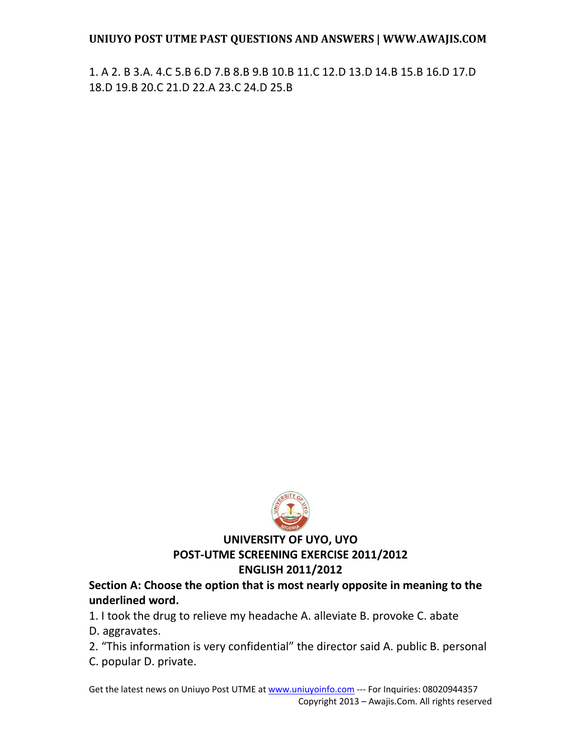1. A 2. B 3.A. 4.C 5.B 6.D 7.B 8.B 9.B 10.B 11.C 12.D 13.D 14.B 15.B 16.D 17.D 18.D 19.B 20.C 21.D 22.A 23.C 24.D 25.B



#### **UNIVERSITY OF UYO, UYO POST-UTME SCREENING EXERCISE 2011/2012 ENGLISH 2011/2012**

#### **Section A: Choose the option that is most nearly opposite in meaning to the underlined word.**

1. I took the drug to relieve my headache A. alleviate B. provoke C. abate

- D. aggravates.
- 2. "This information is very confidential" the director said A. public B. personal
- C. popular D. private.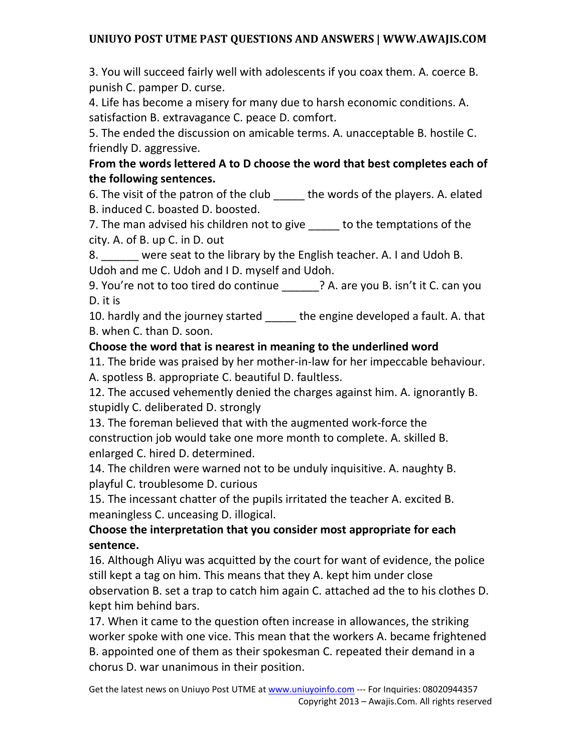3. You will succeed fairly well with adolescents if you coax them. A. coerce B. punish C. pamper D. curse.

4. Life has become a misery for many due to harsh economic conditions. A. satisfaction B. extravagance C. peace D. comfort.

5. The ended the discussion on amicable terms. A. unacceptable B. hostile C. friendly D. aggressive.

### **From the words lettered A to D choose the word that best completes each of the following sentences.**

6. The visit of the patron of the club \_\_\_\_\_ the words of the players. A. elated B. induced C. boasted D. boosted.

7. The man advised his children not to give to the temptations of the city. A. of B. up C. in D. out

8. were seat to the library by the English teacher. A. I and Udoh B. Udoh and me C. Udoh and I D. myself and Udoh.

9. You're not to too tired do continue \_\_\_\_\_\_? A. are you B. isn't it C. can you D. it is

10. hardly and the journey started \_\_\_\_\_ the engine developed a fault. A. that B. when C. than D. soon.

### **Choose the word that is nearest in meaning to the underlined word**

11. The bride was praised by her mother-in-law for her impeccable behaviour. A. spotless B. appropriate C. beautiful D. faultless.

12. The accused vehemently denied the charges against him. A. ignorantly B. stupidly C. deliberated D. strongly

13. The foreman believed that with the augmented work-force the construction job would take one more month to complete. A. skilled B. enlarged C. hired D. determined.

14. The children were warned not to be unduly inquisitive. A. naughty B. playful C. troublesome D. curious

15. The incessant chatter of the pupils irritated the teacher A. excited B. meaningless C. unceasing D. illogical.

**Choose the interpretation that you consider most appropriate for each sentence.** 

16. Although Aliyu was acquitted by the court for want of evidence, the police still kept a tag on him. This means that they A. kept him under close observation B. set a trap to catch him again C. attached ad the to his clothes D. kept him behind bars.

17. When it came to the question often increase in allowances, the striking worker spoke with one vice. This mean that the workers A. became frightened B. appointed one of them as their spokesman C. repeated their demand in a chorus D. war unanimous in their position.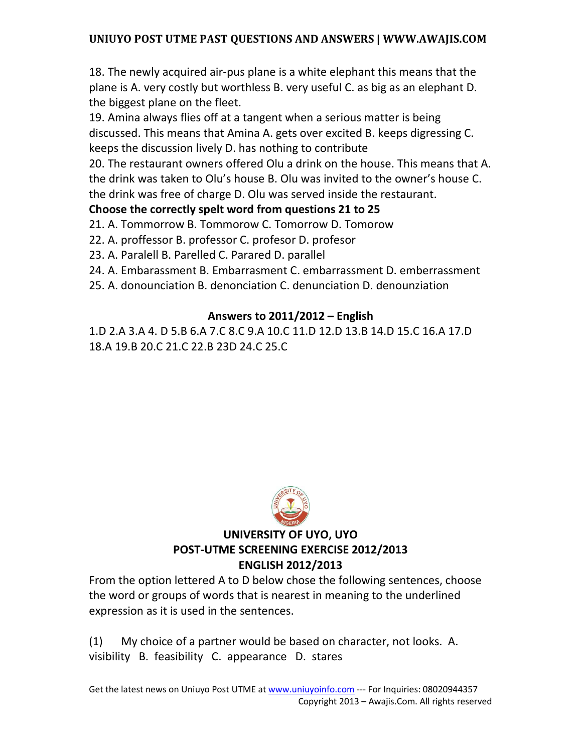18. The newly acquired air-pus plane is a white elephant this means that the plane is A. very costly but worthless B. very useful C. as big as an elephant D. the biggest plane on the fleet.

19. Amina always flies off at a tangent when a serious matter is being discussed. This means that Amina A. gets over excited B. keeps digressing C. keeps the discussion lively D. has nothing to contribute

20. The restaurant owners offered Olu a drink on the house. This means that A. the drink was taken to Olu's house B. Olu was invited to the owner's house C. the drink was free of charge D. Olu was served inside the restaurant.

## **Choose the correctly spelt word from questions 21 to 25**

21. A. Tommorrow B. Tommorow C. Tomorrow D. Tomorow

22. A. proffessor B. professor C. profesor D. profesor

23. A. Paralell B. Parelled C. Parared D. parallel

24. A. Embarassment B. Embarrasment C. embarrassment D. emberrassment

25. A. donounciation B. denonciation C. denunciation D. denounziation

# **Answers to 2011/2012 – English**

1.D 2.A 3.A 4. D 5.B 6.A 7.C 8.C 9.A 10.C 11.D 12.D 13.B 14.D 15.C 16.A 17.D 18.A 19.B 20.C 21.C 22.B 23D 24.C 25.C



# **UNIVERSITY OF UYO, UYO POST-UTME SCREENING EXERCISE 2012/2013 ENGLISH 2012/2013**

From the option lettered A to D below chose the following sentences, choose the word or groups of words that is nearest in meaning to the underlined expression as it is used in the sentences.

(1) My choice of a partner would be based on character, not looks. A. visibility B. feasibility C. appearance D. stares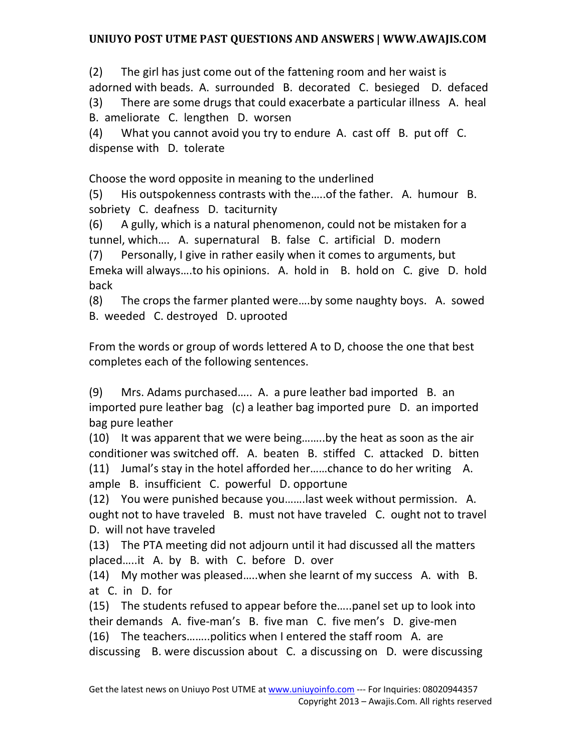(2) The girl has just come out of the fattening room and her waist is adorned with beads. A. surrounded B. decorated C. besieged D. defaced (3) There are some drugs that could exacerbate a particular illness A. heal B. ameliorate C. lengthen D. worsen

(4) What you cannot avoid you try to endure A. cast off B. put off C. dispense with D. tolerate

Choose the word opposite in meaning to the underlined

(5) His outspokenness contrasts with the…..of the father. A. humour B. sobriety C. deafness D. taciturnity

(6) A gully, which is a natural phenomenon, could not be mistaken for a tunnel, which…. A. supernatural B. false C. artificial D. modern

(7) Personally, I give in rather easily when it comes to arguments, but Emeka will always….to his opinions. A. hold in B. hold on C. give D. hold back

(8) The crops the farmer planted were….by some naughty boys. A. sowed B. weeded C. destroyed D. uprooted

From the words or group of words lettered A to D, choose the one that best completes each of the following sentences.

(9) Mrs. Adams purchased….. A. a pure leather bad imported B. an imported pure leather bag (c) a leather bag imported pure D. an imported bag pure leather

(10) It was apparent that we were being……..by the heat as soon as the air conditioner was switched off. A. beaten B. stiffed C. attacked D. bitten (11) Jumal's stay in the hotel afforded her……chance to do her writing A. ample B. insufficient C. powerful D. opportune

(12) You were punished because you…….last week without permission. A. ought not to have traveled B. must not have traveled C. ought not to travel D. will not have traveled

(13) The PTA meeting did not adjourn until it had discussed all the matters placed…..it A. by B. with C. before D. over

(14) My mother was pleased…..when she learnt of my success A. with B. at C. in D. for

(15) The students refused to appear before the…..panel set up to look into their demands A. five-man's B. five man C. five men's D. give-men (16) The teachers……..politics when I entered the staff room A. are discussing B. were discussion about C. a discussing on D. were discussing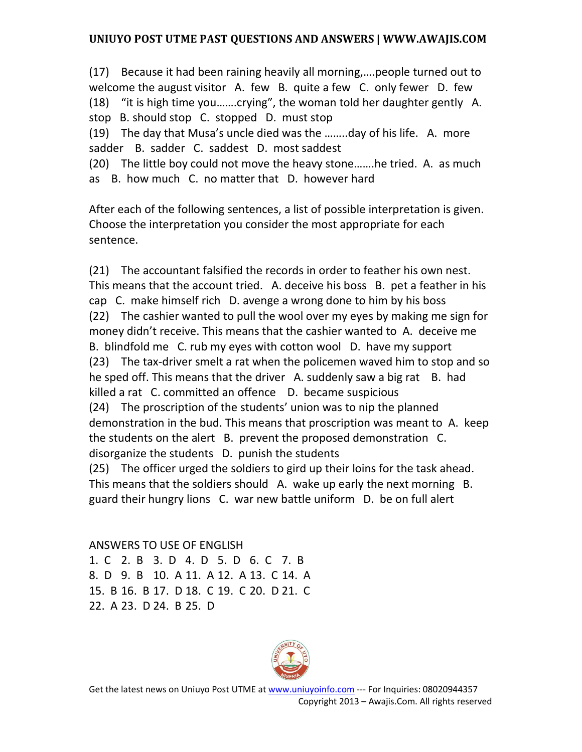(17) Because it had been raining heavily all morning,….people turned out to welcome the august visitor A. few B. quite a few C. only fewer D. few (18) "it is high time you…….crying", the woman told her daughter gently A. stop B. should stop C. stopped D. must stop (19) The day that Musa's uncle died was the ……..day of his life. A. more

sadder B. sadder C. saddest D. most saddest

(20) The little boy could not move the heavy stone…….he tried. A. as much as B. how much C. no matter that D. however hard

After each of the following sentences, a list of possible interpretation is given. Choose the interpretation you consider the most appropriate for each sentence.

(21) The accountant falsified the records in order to feather his own nest. This means that the account tried. A. deceive his boss B. pet a feather in his cap C. make himself rich D. avenge a wrong done to him by his boss (22) The cashier wanted to pull the wool over my eyes by making me sign for money didn't receive. This means that the cashier wanted to A. deceive me B. blindfold me C. rub my eyes with cotton wool D. have my support (23) The tax-driver smelt a rat when the policemen waved him to stop and so he sped off. This means that the driver A. suddenly saw a big rat B. had killed a rat C. committed an offence D. became suspicious (24) The proscription of the students' union was to nip the planned demonstration in the bud. This means that proscription was meant to A. keep the students on the alert B. prevent the proposed demonstration C. disorganize the students D. punish the students

(25) The officer urged the soldiers to gird up their loins for the task ahead. This means that the soldiers should A. wake up early the next morning B. guard their hungry lions C. war new battle uniform D. be on full alert

ANSWERS TO USE OF ENGLISH 1. C 2. B 3. D 4. D 5. D 6. C 7. B 8. D 9. B 10. A 11. A 12. A 13. C 14. A 15. B 16. B 17. D 18. C 19. C 20. D 21. C 22. A 23. D 24. B 25. D



Get the latest news on Uniuyo Post UTME at www.uniuyoinfo.com --- For Inquiries: 08020944357 Copyright 2013 – Awajis.Com. All rights reserved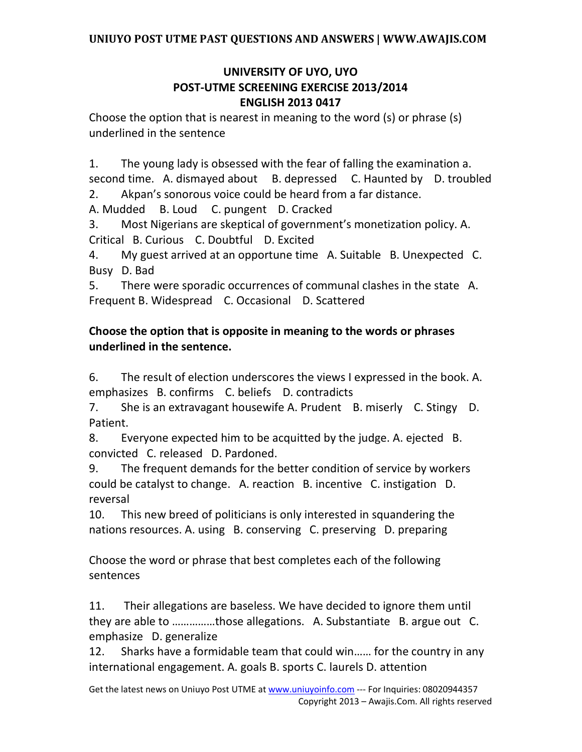### **UNIVERSITY OF UYO, UYO POST-UTME SCREENING EXERCISE 2013/2014 ENGLISH 2013 0417**

Choose the option that is nearest in meaning to the word (s) or phrase (s) underlined in the sentence

1. The young lady is obsessed with the fear of falling the examination a.

second time. A. dismayed about B. depressed C. Haunted by D. troubled 2. Akpan's sonorous voice could be heard from a far distance.

A. Mudded B. Loud C. pungent D. Cracked

3. Most Nigerians are skeptical of government's monetization policy. A. Critical B. Curious C. Doubtful D. Excited

4. My guest arrived at an opportune time A. Suitable B. Unexpected C. Busy D. Bad

5. There were sporadic occurrences of communal clashes in the state A. Frequent B. Widespread C. Occasional D. Scattered

## **Choose the option that is opposite in meaning to the words or phrases underlined in the sentence.**

6. The result of election underscores the views I expressed in the book. A. emphasizes B. confirms C. beliefs D. contradicts

7. She is an extravagant housewife A. Prudent B. miserly C. Stingy D. Patient.

8. Everyone expected him to be acquitted by the judge. A. ejected B. convicted C. released D. Pardoned.

9. The frequent demands for the better condition of service by workers could be catalyst to change. A. reaction B. incentive C. instigation D. reversal

10. This new breed of politicians is only interested in squandering the nations resources. A. using B. conserving C. preserving D. preparing

Choose the word or phrase that best completes each of the following sentences

11. Their allegations are baseless. We have decided to ignore them until they are able to ……………those allegations. A. Substantiate B. argue out C. emphasize D. generalize

12. Sharks have a formidable team that could win…… for the country in any international engagement. A. goals B. sports C. laurels D. attention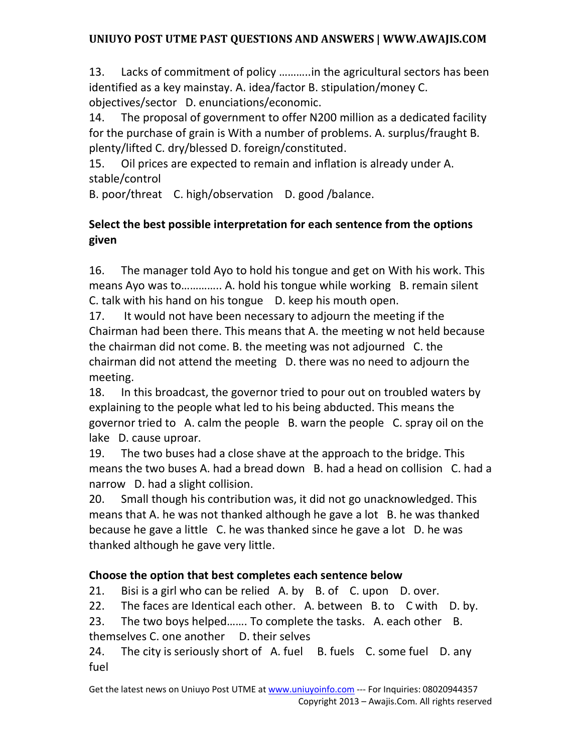13. Lacks of commitment of policy ………..in the agricultural sectors has been identified as a key mainstay. A. idea/factor B. stipulation/money C. objectives/sector D. enunciations/economic.

14. The proposal of government to offer N200 million as a dedicated facility for the purchase of grain is With a number of problems. A. surplus/fraught B. plenty/lifted C. dry/blessed D. foreign/constituted.

15. Oil prices are expected to remain and inflation is already under A. stable/control

B. poor/threat C. high/observation D. good /balance.

## **Select the best possible interpretation for each sentence from the options given**

16. The manager told Ayo to hold his tongue and get on With his work. This means Ayo was to………….. A. hold his tongue while working B. remain silent C. talk with his hand on his tongue D. keep his mouth open.

17. It would not have been necessary to adjourn the meeting if the Chairman had been there. This means that A. the meeting w not held because the chairman did not come. B. the meeting was not adjourned C. the chairman did not attend the meeting D. there was no need to adjourn the meeting.

18. In this broadcast, the governor tried to pour out on troubled waters by explaining to the people what led to his being abducted. This means the governor tried to A. calm the people B. warn the people C. spray oil on the lake D. cause uproar.

19. The two buses had a close shave at the approach to the bridge. This means the two buses A. had a bread down B. had a head on collision C. had a narrow D. had a slight collision.

20. Small though his contribution was, it did not go unacknowledged. This means that A. he was not thanked although he gave a lot B. he was thanked because he gave a little C. he was thanked since he gave a lot D. he was thanked although he gave very little.

# **Choose the option that best completes each sentence below**

21. Bisi is a girl who can be relied A. by B. of C. upon D. over.

22. The faces are Identical each other. A. between B. to C with D. by.

23. The two boys helped……. To complete the tasks. A. each other B. themselves C. one another D. their selves

24. The city is seriously short of A. fuel B. fuels C. some fuel D. any fuel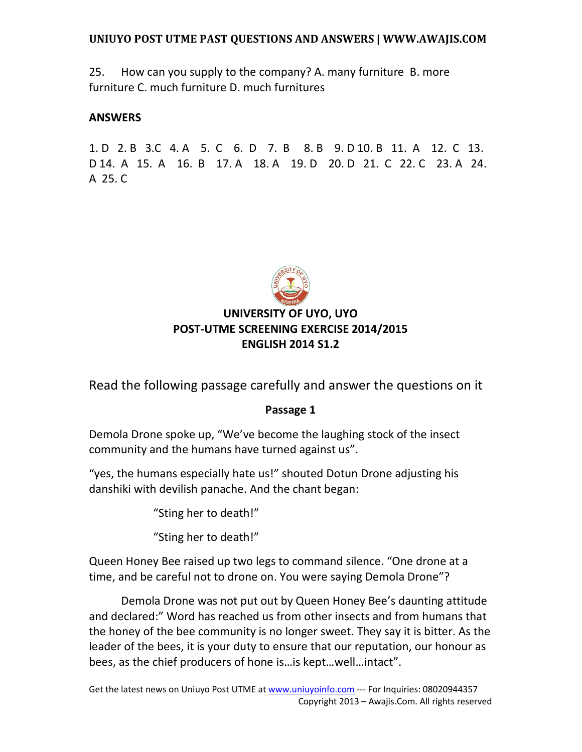25. How can you supply to the company? A. many furniture B. more furniture C. much furniture D. much furnitures

#### **ANSWERS**

1. D 2. B 3.C 4. A 5. C 6. D 7. B 8. B 9. D 10. B 11. A 12. C 13. D 14. A 15. A 16. B 17. A 18. A 19. D 20. D 21. C 22. C 23. A 24. A 25. C



# **UNIVERSITY OF UYO, UYO POST-UTME SCREENING EXERCISE 2014/2015 ENGLISH 2014 S1.2**

Read the following passage carefully and answer the questions on it

#### **Passage 1**

Demola Drone spoke up, "We've become the laughing stock of the insect community and the humans have turned against us".

"yes, the humans especially hate us!" shouted Dotun Drone adjusting his danshiki with devilish panache. And the chant began:

"Sting her to death!"

"Sting her to death!"

Queen Honey Bee raised up two legs to command silence. "One drone at a time, and be careful not to drone on. You were saying Demola Drone"?

 Demola Drone was not put out by Queen Honey Bee's daunting attitude and declared:" Word has reached us from other insects and from humans that the honey of the bee community is no longer sweet. They say it is bitter. As the leader of the bees, it is your duty to ensure that our reputation, our honour as bees, as the chief producers of hone is…is kept…well…intact".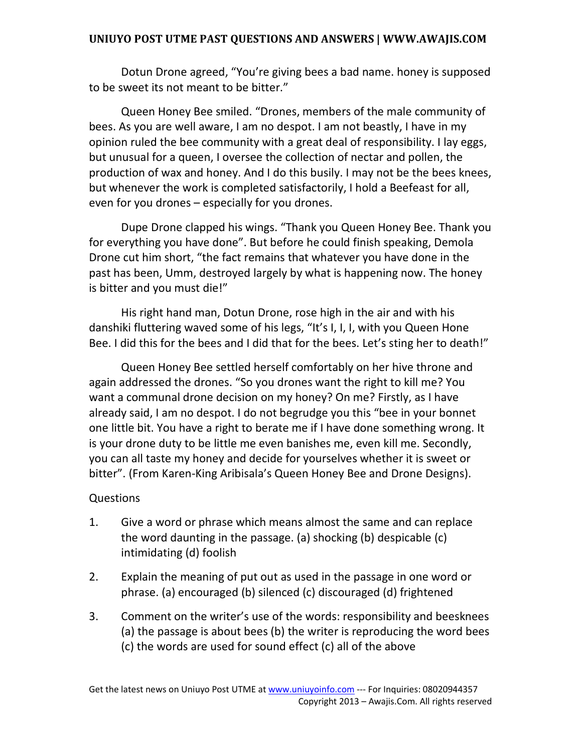Dotun Drone agreed, "You're giving bees a bad name. honey is supposed to be sweet its not meant to be bitter."

 Queen Honey Bee smiled. "Drones, members of the male community of bees. As you are well aware, I am no despot. I am not beastly, I have in my opinion ruled the bee community with a great deal of responsibility. I lay eggs, but unusual for a queen, I oversee the collection of nectar and pollen, the production of wax and honey. And I do this busily. I may not be the bees knees, but whenever the work is completed satisfactorily, I hold a Beefeast for all, even for you drones – especially for you drones.

 Dupe Drone clapped his wings. "Thank you Queen Honey Bee. Thank you for everything you have done". But before he could finish speaking, Demola Drone cut him short, "the fact remains that whatever you have done in the past has been, Umm, destroyed largely by what is happening now. The honey is bitter and you must die!"

 His right hand man, Dotun Drone, rose high in the air and with his danshiki fluttering waved some of his legs, "It's I, I, I, with you Queen Hone Bee. I did this for the bees and I did that for the bees. Let's sting her to death!"

 Queen Honey Bee settled herself comfortably on her hive throne and again addressed the drones. "So you drones want the right to kill me? You want a communal drone decision on my honey? On me? Firstly, as I have already said, I am no despot. I do not begrudge you this "bee in your bonnet one little bit. You have a right to berate me if I have done something wrong. It is your drone duty to be little me even banishes me, even kill me. Secondly, you can all taste my honey and decide for yourselves whether it is sweet or bitter". (From Karen-King Aribisala's Queen Honey Bee and Drone Designs).

#### Questions

- 1. Give a word or phrase which means almost the same and can replace the word daunting in the passage. (a) shocking (b) despicable (c) intimidating (d) foolish
- 2. Explain the meaning of put out as used in the passage in one word or phrase. (a) encouraged (b) silenced (c) discouraged (d) frightened
- 3. Comment on the writer's use of the words: responsibility and beesknees (a) the passage is about bees (b) the writer is reproducing the word bees (c) the words are used for sound effect (c) all of the above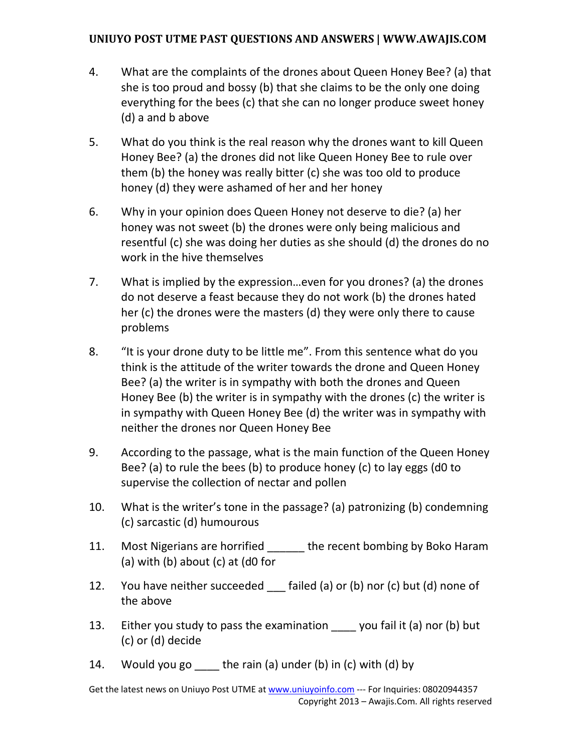- 4. What are the complaints of the drones about Queen Honey Bee? (a) that she is too proud and bossy (b) that she claims to be the only one doing everything for the bees (c) that she can no longer produce sweet honey (d) a and b above
- 5. What do you think is the real reason why the drones want to kill Queen Honey Bee? (a) the drones did not like Queen Honey Bee to rule over them (b) the honey was really bitter (c) she was too old to produce honey (d) they were ashamed of her and her honey
- 6. Why in your opinion does Queen Honey not deserve to die? (a) her honey was not sweet (b) the drones were only being malicious and resentful (c) she was doing her duties as she should (d) the drones do no work in the hive themselves
- 7. What is implied by the expression…even for you drones? (a) the drones do not deserve a feast because they do not work (b) the drones hated her (c) the drones were the masters (d) they were only there to cause problems
- 8. "It is your drone duty to be little me". From this sentence what do you think is the attitude of the writer towards the drone and Queen Honey Bee? (a) the writer is in sympathy with both the drones and Queen Honey Bee (b) the writer is in sympathy with the drones (c) the writer is in sympathy with Queen Honey Bee (d) the writer was in sympathy with neither the drones nor Queen Honey Bee
- 9. According to the passage, what is the main function of the Queen Honey Bee? (a) to rule the bees (b) to produce honey (c) to lay eggs (d0 to supervise the collection of nectar and pollen
- 10. What is the writer's tone in the passage? (a) patronizing (b) condemning (c) sarcastic (d) humourous
- 11. Most Nigerians are horrified the recent bombing by Boko Haram (a) with (b) about (c) at  $(d0$  for
- 12. You have neither succeeded failed (a) or (b) nor (c) but (d) none of the above
- 13. Either you study to pass the examination \_\_\_\_ you fail it (a) nor (b) but (c) or (d) decide
- 14. Would you go  $\equiv$  the rain (a) under (b) in (c) with (d) by